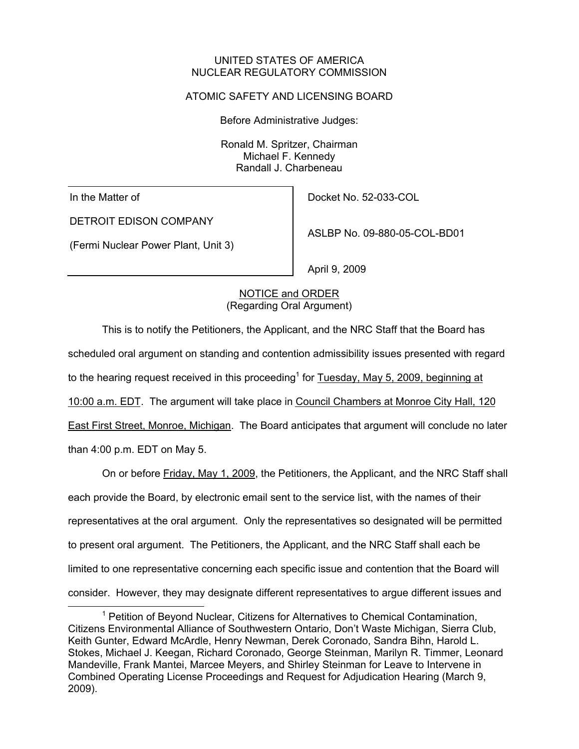#### UNITED STATES OF AMERICA NUCLEAR REGULATORY COMMISSION

# ATOMIC SAFETY AND LICENSING BOARD

Before Administrative Judges:

Ronald M. Spritzer, Chairman Michael F. Kennedy Randall J. Charbeneau

In the Matter of

DETROIT EDISON COMPANY

(Fermi Nuclear Power Plant, Unit 3)

Docket No. 52-033-COL

ASLBP No. 09-880-05-COL-BD01

April 9, 2009

# NOTICE and ORDER (Regarding Oral Argument)

This is to notify the Petitioners, the Applicant, and the NRC Staff that the Board has scheduled oral argument on standing and contention admissibility issues presented with regard to the hearing request received in this proceeding<sup>1</sup> for  $\overline{\text{Tuesday}}$ , May 5, 2009, beginning at 10:00 a.m. EDT. The argument will take place in Council Chambers at Monroe City Hall, 120 East First Street, Monroe, Michigan. The Board anticipates that argument will conclude no later than 4:00 p.m. EDT on May 5.

On or before Friday, May 1, 2009, the Petitioners, the Applicant, and the NRC Staff shall each provide the Board, by electronic email sent to the service list, with the names of their representatives at the oral argument. Only the representatives so designated will be permitted to present oral argument. The Petitioners, the Applicant, and the NRC Staff shall each be limited to one representative concerning each specific issue and contention that the Board will consider. However, they may designate different representatives to argue different issues and

 <sup>1</sup> <sup>1</sup> Petition of Beyond Nuclear, Citizens for Alternatives to Chemical Contamination, Citizens Environmental Alliance of Southwestern Ontario, Don't Waste Michigan, Sierra Club, Keith Gunter, Edward McArdle, Henry Newman, Derek Coronado, Sandra Bihn, Harold L. Stokes, Michael J. Keegan, Richard Coronado, George Steinman, Marilyn R. Timmer, Leonard Mandeville, Frank Mantei, Marcee Meyers, and Shirley Steinman for Leave to Intervene in Combined Operating License Proceedings and Request for Adjudication Hearing (March 9, 2009).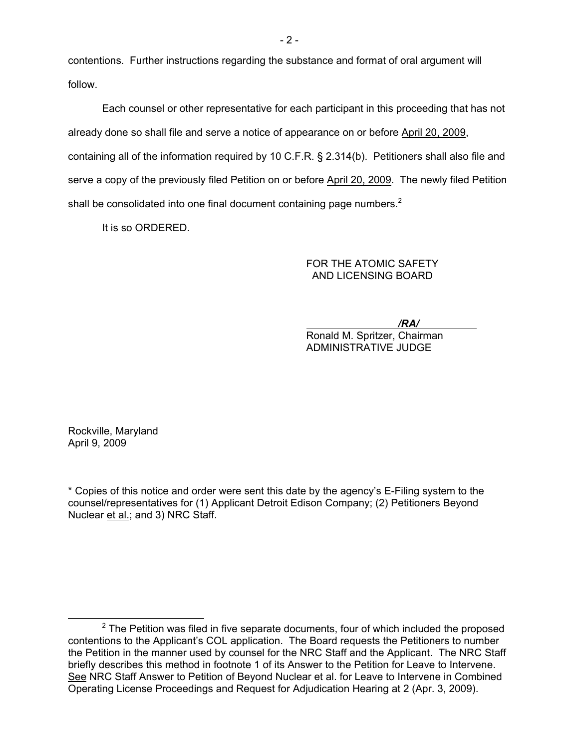contentions. Further instructions regarding the substance and format of oral argument will follow.

Each counsel or other representative for each participant in this proceeding that has not already done so shall file and serve a notice of appearance on or before April 20, 2009, containing all of the information required by 10 C.F.R. § 2.314(b). Petitioners shall also file and serve a copy of the previously filed Petition on or before April 20, 2009. The newly filed Petition shall be consolidated into one final document containing page numbers. $2$ 

It is so ORDERED.

### FOR THE ATOMIC SAFETY AND LICENSING BOARD

*/RA/* 

Ronald M. Spritzer, Chairman ADMINISTRATIVE JUDGE

Rockville, Maryland April 9, 2009

\* Copies of this notice and order were sent this date by the agency's E-Filing system to the counsel/representatives for (1) Applicant Detroit Edison Company; (2) Petitioners Beyond Nuclear et al.; and 3) NRC Staff.

 $\overline{\phantom{a}}$  $2$  The Petition was filed in five separate documents, four of which included the proposed contentions to the Applicant's COL application. The Board requests the Petitioners to number the Petition in the manner used by counsel for the NRC Staff and the Applicant. The NRC Staff briefly describes this method in footnote 1 of its Answer to the Petition for Leave to Intervene. See NRC Staff Answer to Petition of Beyond Nuclear et al. for Leave to Intervene in Combined Operating License Proceedings and Request for Adjudication Hearing at 2 (Apr. 3, 2009).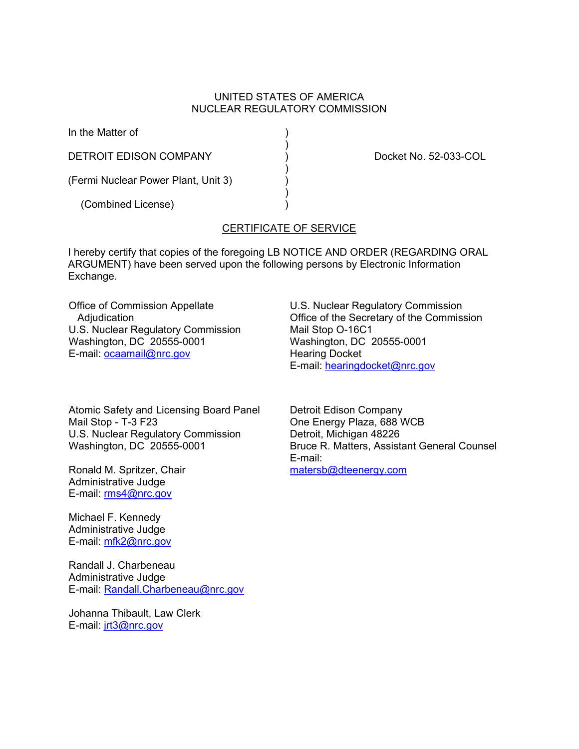#### UNITED STATES OF AMERICA NUCLEAR REGULATORY COMMISSION

In the Matter of )

 $)$ DETROIT EDISON COMPANY (DETROIT EDISON COMPANY )

(Fermi Nuclear Power Plant, Unit 3) )

 $)$ 

 $)$ (Combined License) )

# CERTIFICATE OF SERVICE

I hereby certify that copies of the foregoing LB NOTICE AND ORDER (REGARDING ORAL ARGUMENT) have been served upon the following persons by Electronic Information Exchange.

Office of Commission Appellate Adjudication U.S. Nuclear Regulatory Commission Washington, DC 20555-0001 E-mail: ocaamail@nrc.gov

Atomic Safety and Licensing Board Panel Mail Stop - T-3 F23 U.S. Nuclear Regulatory Commission Washington, DC 20555-0001

Ronald M. Spritzer, Chair Administrative Judge E-mail: rms4@nrc.gov

Michael F. Kennedy Administrative Judge E-mail: mfk2@nrc.gov

Randall J. Charbeneau Administrative Judge E-mail: Randall.Charbeneau@nrc.gov

Johanna Thibault, Law Clerk E-mail: jrt3@nrc.gov

U.S. Nuclear Regulatory Commission Office of the Secretary of the Commission Mail Stop O-16C1 Washington, DC 20555-0001 Hearing Docket E-mail: hearingdocket@nrc.gov

Detroit Edison Company One Energy Plaza, 688 WCB Detroit, Michigan 48226 Bruce R. Matters, Assistant General Counsel E-mail: matersb@dteenergy.com